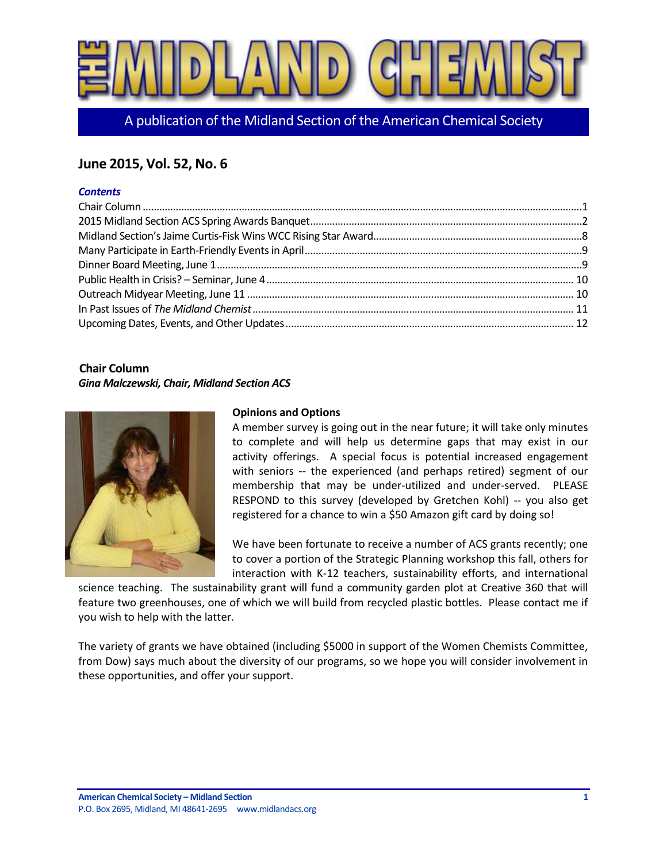

A publication of the Midland Section of the American Chemical Society

# **June 2015, Vol. 52, No. 6**

### *Contents*

### <span id="page-0-0"></span>**Chair Column**

### *Gina Malczewski, Chair, Midland Section ACS*



### **Opinions and Options**

A member survey is going out in the near future; it will take only minutes to complete and will help us determine gaps that may exist in our activity offerings. A special focus is potential increased engagement with seniors -- the experienced (and perhaps retired) segment of our membership that may be under-utilized and under-served. PLEASE RESPOND to this survey (developed by Gretchen Kohl) -- you also get registered for a chance to win a \$50 Amazon gift card by doing so!

We have been fortunate to receive a number of ACS grants recently; one to cover a portion of the Strategic Planning workshop this fall, others for interaction with K-12 teachers, sustainability efforts, and international

science teaching. The sustainability grant will fund a community garden plot at Creative 360 that will feature two greenhouses, one of which we will build from recycled plastic bottles. Please contact me if you wish to help with the latter.

The variety of grants we have obtained (including \$5000 in support of the Women Chemists Committee, from Dow) says much about the diversity of our programs, so we hope you will consider involvement in these opportunities, and offer your support.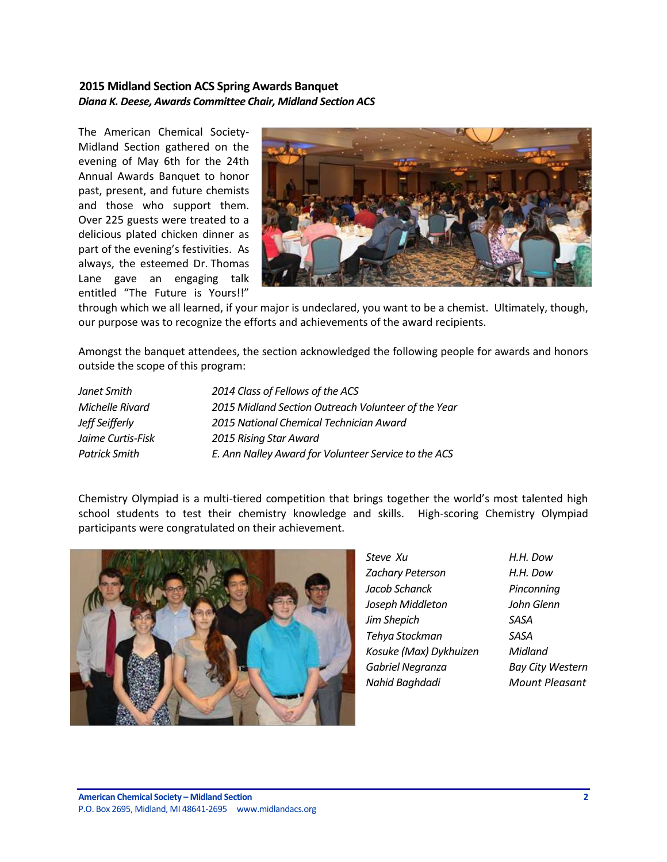#### <span id="page-1-0"></span>**2015 Midland Section ACS Spring Awards Banquet** *Diana K. Deese, Awards Committee Chair, Midland Section ACS*

The American Chemical Society-Midland Section gathered on the evening of May 6th for the 24th Annual Awards Banquet to honor past, present, and future chemists and those who support them. Over 225 guests were treated to a delicious plated chicken dinner as part of the evening's festivities. As always, the esteemed Dr. Thomas Lane gave an engaging talk entitled "The Future is Yours!!"



through which we all learned, if your major is undeclared, you want to be a chemist. Ultimately, though, our purpose was to recognize the efforts and achievements of the award recipients.

Amongst the banquet attendees, the section acknowledged the following people for awards and honors outside the scope of this program:

| Janet Smith       | 2014 Class of Fellows of the ACS                     |
|-------------------|------------------------------------------------------|
| Michelle Rivard   | 2015 Midland Section Outreach Volunteer of the Year  |
| Jeff Seifferly    | 2015 National Chemical Technician Award              |
| Jaime Curtis-Fisk | 2015 Rising Star Award                               |
| Patrick Smith     | E. Ann Nalley Award for Volunteer Service to the ACS |

Chemistry Olympiad is a multi-tiered competition that brings together the world's most talented high school students to test their chemistry knowledge and skills. High-scoring Chemistry Olympiad participants were congratulated on their achievement.



| Steve Xu                | H.H. Dow                |
|-------------------------|-------------------------|
| <b>Zachary Peterson</b> | H.H. Dow                |
| Jacob Schanck           | Pinconning              |
| Joseph Middleton        | John Glenn              |
| Jim Shepich             | SASA                    |
| Tehya Stockman          | SASA                    |
| Kosuke (Max) Dykhuizen  | Midland                 |
| Gabriel Negranza        | <b>Bay City Western</b> |
| Nahid Baghdadi          | <b>Mount Pleasant</b>   |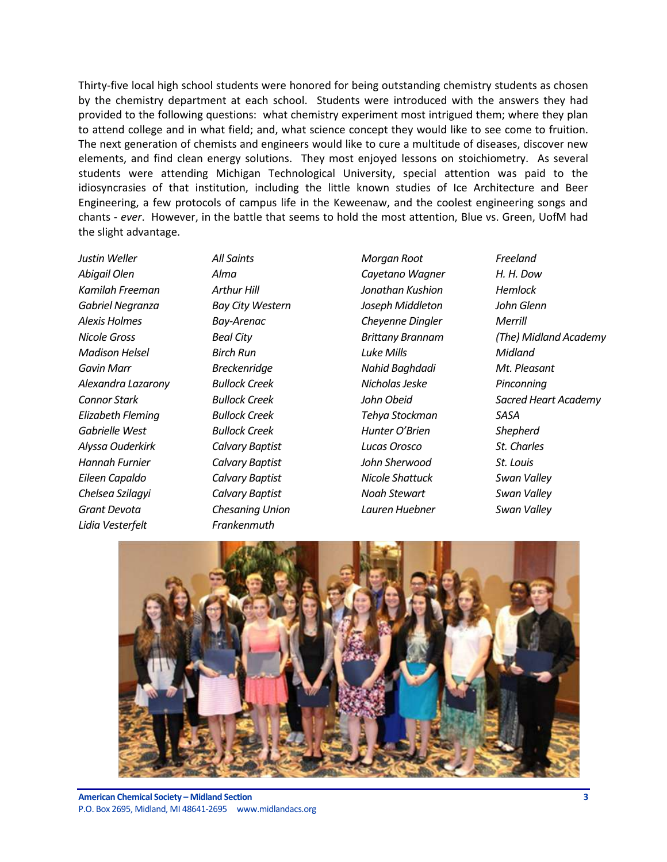Thirty-five local high school students were honored for being outstanding chemistry students as chosen by the chemistry department at each school. Students were introduced with the answers they had provided to the following questions: what chemistry experiment most intrigued them; where they plan to attend college and in what field; and, what science concept they would like to see come to fruition. The next generation of chemists and engineers would like to cure a multitude of diseases, discover new elements, and find clean energy solutions. They most enjoyed lessons on stoichiometry. As several students were attending Michigan Technological University, special attention was paid to the idiosyncrasies of that institution, including the little known studies of Ice Architecture and Beer Engineering, a few protocols of campus life in the Keweenaw, and the coolest engineering songs and chants - *ever*. However, in the battle that seems to hold the most attention, Blue vs. Green, UofM had the slight advantage.

*Abigail Olen Alma Cayetano Wagner H. H. Dow Kamilah Freeman Arthur Hill Jonathan Kushion Hemlock Gabriel Negranza Bay City Western Joseph Middleton John Glenn Alexis Holmes Bay-Arenac Cheyenne Dingler Merrill Madison Helsel Birch Run Luke Mills Midland Gavin Marr Breckenridge Nahid Baghdadi Mt. Pleasant Alexandra Lazarony Bullock Creek Nicholas Jeske Pinconning Elizabeth Fleming Bullock Creek Tehya Stockman SASA Gabrielle West Bullock Creek Hunter O'Brien Shepherd Alyssa Ouderkirk Calvary Baptist Lucas Orosco St. Charles Hannah Furnier Calvary Baptist John Sherwood St. Louis Eileen Capaldo Calvary Baptist Nicole Shattuck Swan Valley Chelsea Szilagyi Calvary Baptist Noah Stewart Swan Valley Grant Devota Chesaning Union Lauren Huebner Swan Valley Lidia Vesterfelt Frankenmuth*

*Justin Weller All Saints Morgan Root Freeland*

*Nicole Gross Beal City Brittany Brannam (The) Midland Academy Connor Stark Bullock Creek John Obeid Sacred Heart Academy*

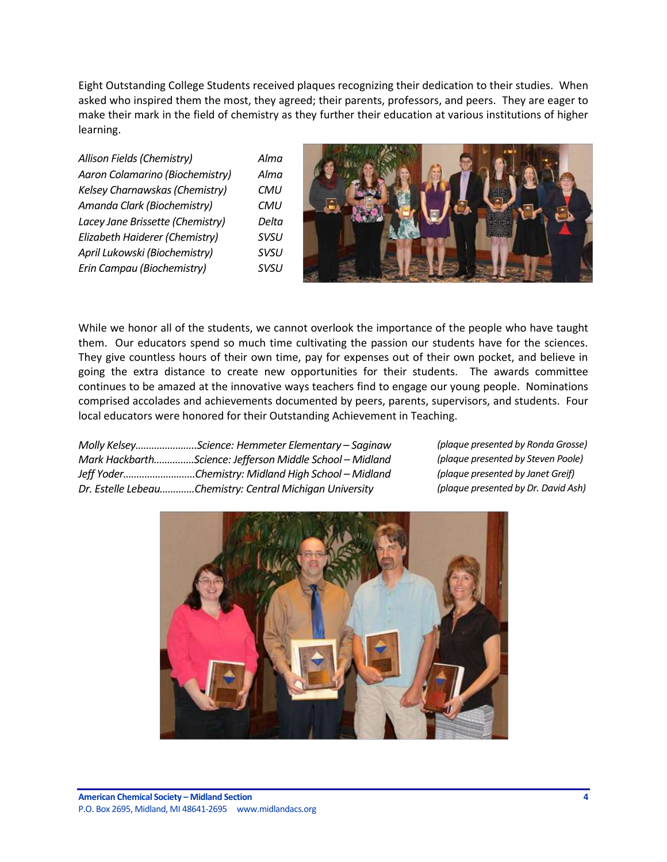Eight Outstanding College Students received plaques recognizing their dedication to their studies. When asked who inspired them the most, they agreed; their parents, professors, and peers. They are eager to make their mark in the field of chemistry as they further their education at various institutions of higher learning.

*Allison Fields (Chemistry) Alma Aaron Colamarino (Biochemistry) Alma Kelsey Charnawskas (Chemistry) CMU Amanda Clark (Biochemistry) CMU Lacey Jane Brissette (Chemistry) Delta Elizabeth Haiderer (Chemistry) SVSU April Lukowski (Biochemistry) SVSU Erin Campau (Biochemistry) SVSU*



While we honor all of the students, we cannot overlook the importance of the people who have taught them. Our educators spend so much time cultivating the passion our students have for the sciences. They give countless hours of their own time, pay for expenses out of their own pocket, and believe in going the extra distance to create new opportunities for their students. The awards committee continues to be amazed at the innovative ways teachers find to engage our young people. Nominations comprised accolades and achievements documented by peers, parents, supervisors, and students. Four local educators were honored for their Outstanding Achievement in Teaching.

| Molly KelseyScience: Hemmeter Elementary – Saginaw       |
|----------------------------------------------------------|
| Mark HackbarthScience: Jefferson Middle School - Midland |
| Jeff YoderChemistry: Midland High School - Midland       |
| Dr. Estelle LebeauChemistry: Central Michigan University |

*Molly Kelsey…………………..Science: Hemmeter Elementary – Saginaw (plaque presented by Ronda Grosse) Mark Hackbarth………..….Science: Jefferson Middle School – Midland (plaque presented by Steven Poole) Jeff Yoder………………………Chemistry: Midland High School – Midland (plaque presented by Janet Greif) Dr. Estelle Lebeau….………Chemistry: Central Michigan University (plaque presented by Dr. David Ash)*

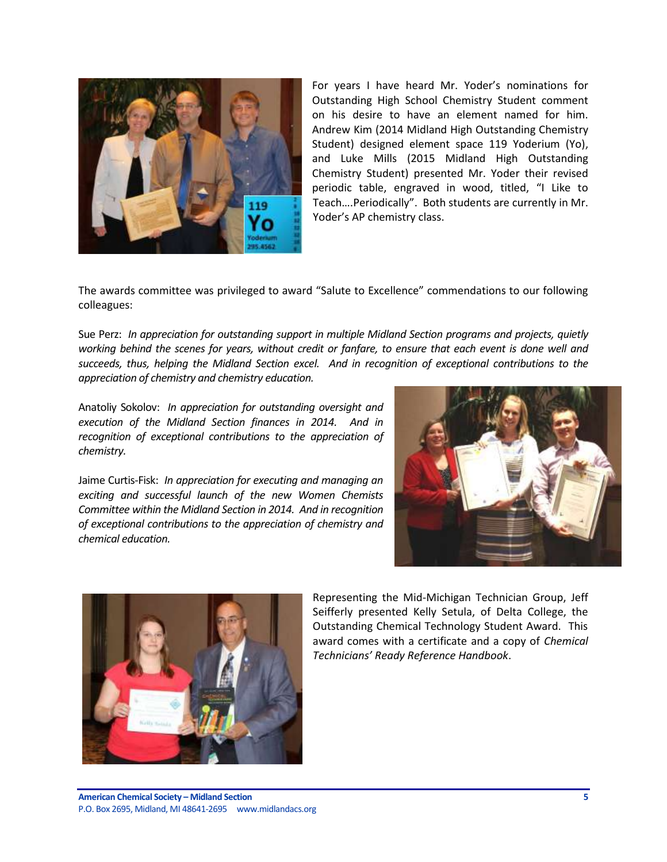

For years I have heard Mr. Yoder's nominations for Outstanding High School Chemistry Student comment on his desire to have an element named for him. Andrew Kim (2014 Midland High Outstanding Chemistry Student) designed element space 119 Yoderium (Yo), and Luke Mills (2015 Midland High Outstanding Chemistry Student) presented Mr. Yoder their revised periodic table, engraved in wood, titled, "I Like to Teach….Periodically". Both students are currently in Mr. Yoder's AP chemistry class.

The awards committee was privileged to award "Salute to Excellence" commendations to our following colleagues:

Sue Perz: *In appreciation for outstanding support in multiple Midland Section programs and projects, quietly working behind the scenes for years, without credit or fanfare, to ensure that each event is done well and succeeds, thus, helping the Midland Section excel. And in recognition of exceptional contributions to the appreciation of chemistry and chemistry education.*

Anatoliy Sokolov: *In appreciation for outstanding oversight and execution of the Midland Section finances in 2014. And in recognition of exceptional contributions to the appreciation of chemistry.*

Jaime Curtis-Fisk: *In appreciation for executing and managing an exciting and successful launch of the new Women Chemists Committee within the Midland Section in 2014. And in recognition of exceptional contributions to the appreciation of chemistry and chemical education.*





Representing the Mid-Michigan Technician Group, Jeff Seifferly presented Kelly Setula, of Delta College, the Outstanding Chemical Technology Student Award. This award comes with a certificate and a copy of *Chemical Technicians' Ready Reference Handbook*.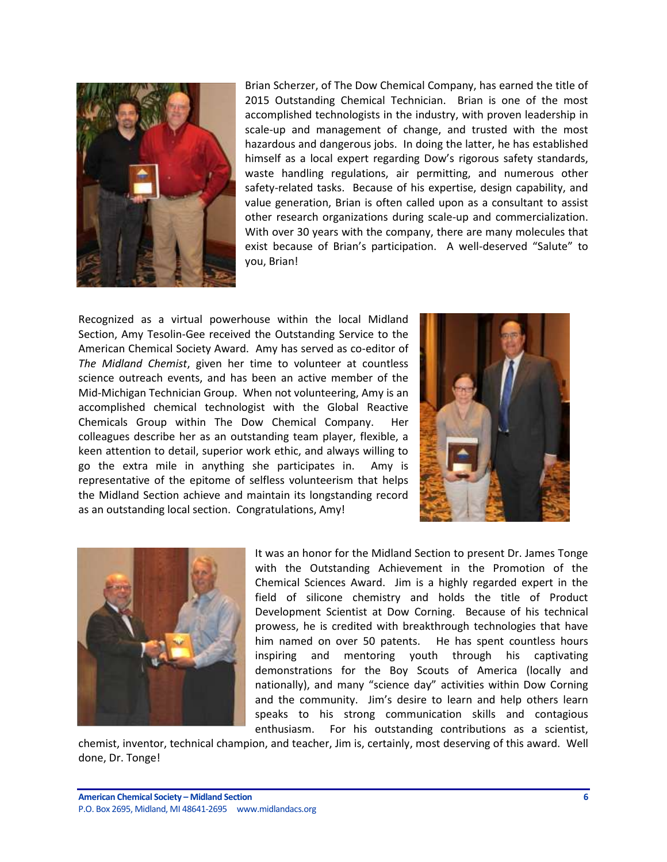

Brian Scherzer, of The Dow Chemical Company, has earned the title of 2015 Outstanding Chemical Technician. Brian is one of the most accomplished technologists in the industry, with proven leadership in scale-up and management of change, and trusted with the most hazardous and dangerous jobs. In doing the latter, he has established himself as a local expert regarding Dow's rigorous safety standards, waste handling regulations, air permitting, and numerous other safety-related tasks. Because of his expertise, design capability, and value generation, Brian is often called upon as a consultant to assist other research organizations during scale-up and commercialization. With over 30 years with the company, there are many molecules that exist because of Brian's participation. A well-deserved "Salute" to you, Brian!

Recognized as a virtual powerhouse within the local Midland Section, Amy Tesolin-Gee received the Outstanding Service to the American Chemical Society Award. Amy has served as co-editor of *The Midland Chemist*, given her time to volunteer at countless science outreach events, and has been an active member of the Mid-Michigan Technician Group. When not volunteering, Amy is an accomplished chemical technologist with the Global Reactive Chemicals Group within The Dow Chemical Company. Her colleagues describe her as an outstanding team player, flexible, a keen attention to detail, superior work ethic, and always willing to go the extra mile in anything she participates in. Amy is representative of the epitome of selfless volunteerism that helps the Midland Section achieve and maintain its longstanding record as an outstanding local section. Congratulations, Amy!





It was an honor for the Midland Section to present Dr. James Tonge with the Outstanding Achievement in the Promotion of the Chemical Sciences Award. Jim is a highly regarded expert in the field of silicone chemistry and holds the title of Product Development Scientist at Dow Corning. Because of his technical prowess, he is credited with breakthrough technologies that have him named on over 50 patents. He has spent countless hours inspiring and mentoring youth through his captivating demonstrations for the Boy Scouts of America (locally and nationally), and many "science day" activities within Dow Corning and the community. Jim's desire to learn and help others learn speaks to his strong communication skills and contagious enthusiasm. For his outstanding contributions as a scientist,

chemist, inventor, technical champion, and teacher, Jim is, certainly, most deserving of this award. Well done, Dr. Tonge!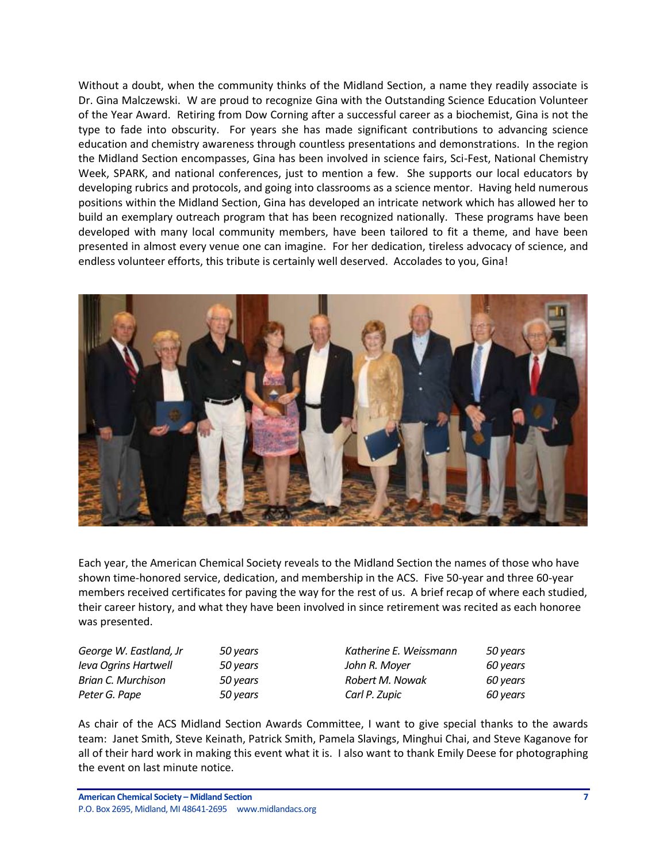Without a doubt, when the community thinks of the Midland Section, a name they readily associate is Dr. Gina Malczewski. W are proud to recognize Gina with the Outstanding Science Education Volunteer of the Year Award. Retiring from Dow Corning after a successful career as a biochemist, Gina is not the type to fade into obscurity. For years she has made significant contributions to advancing science education and chemistry awareness through countless presentations and demonstrations. In the region the Midland Section encompasses, Gina has been involved in science fairs, Sci-Fest, National Chemistry Week, SPARK, and national conferences, just to mention a few. She supports our local educators by developing rubrics and protocols, and going into classrooms as a science mentor. Having held numerous positions within the Midland Section, Gina has developed an intricate network which has allowed her to build an exemplary outreach program that has been recognized nationally. These programs have been developed with many local community members, have been tailored to fit a theme, and have been presented in almost every venue one can imagine. For her dedication, tireless advocacy of science, and endless volunteer efforts, this tribute is certainly well deserved. Accolades to you, Gina!



Each year, the American Chemical Society reveals to the Midland Section the names of those who have shown time-honored service, dedication, and membership in the ACS. Five 50-year and three 60-year members received certificates for paving the way for the rest of us. A brief recap of where each studied, their career history, and what they have been involved in since retirement was recited as each honoree was presented.

| George W. Eastland, Jr      | 50 years | Katherine E. Weissmann | 50 years |
|-----------------------------|----------|------------------------|----------|
| <b>Ieva Ogrins Hartwell</b> | 50 years | John R. Moyer          | 60 vears |
| Brian C. Murchison          | 50 years | Robert M. Nowak        | 60 vears |
| Peter G. Pape               | 50 years | Carl P. Zupic          | 60 years |

As chair of the ACS Midland Section Awards Committee, I want to give special thanks to the awards team: Janet Smith, Steve Keinath, Patrick Smith, Pamela Slavings, Minghui Chai, and Steve Kaganove for all of their hard work in making this event what it is. I also want to thank Emily Deese for photographing the event on last minute notice.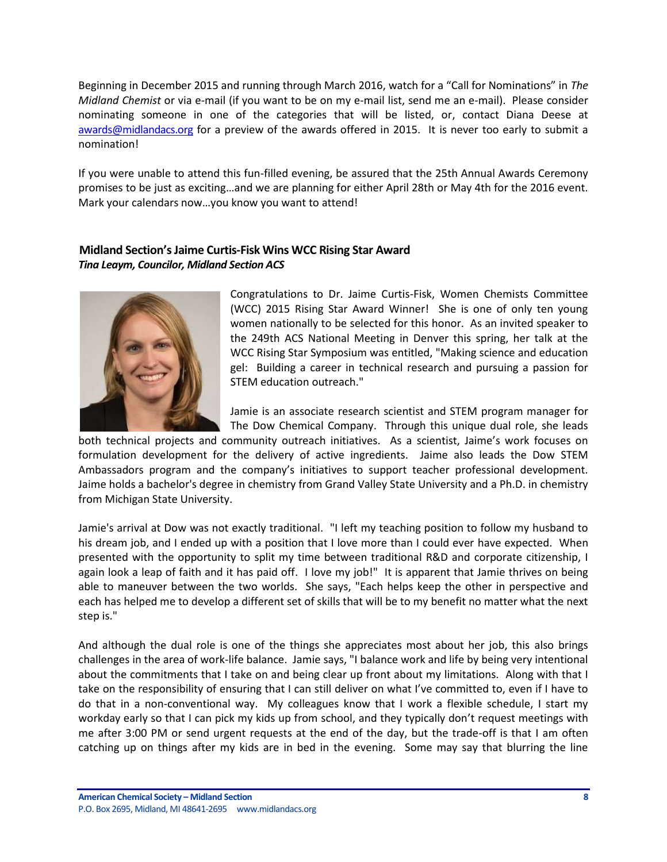Beginning in December 2015 and running through March 2016, watch for a "Call for Nominations" in *The Midland Chemist* or via e-mail (if you want to be on my e-mail list, send me an e-mail). Please consider nominating someone in one of the categories that will be listed, or, contact Diana Deese at [awards@midlandacs.org](mailto:awards@midlandacs.org) for a preview of the awards offered in 2015. It is never too early to submit a nomination!

If you were unable to attend this fun-filled evening, be assured that the 25th Annual Awards Ceremony promises to be just as exciting…and we are planning for either April 28th or May 4th for the 2016 event. Mark your calendars now…you know you want to attend!

# <span id="page-7-0"></span>**Midland Section's Jaime Curtis-Fisk Wins WCC Rising Star Award** *Tina Leaym, Councilor, Midland Section ACS*



Congratulations to Dr. Jaime Curtis-Fisk, Women Chemists Committee (WCC) 2015 Rising Star Award Winner! She is one of only ten young women nationally to be selected for this honor. As an invited speaker to the 249th ACS National Meeting in Denver this spring, her talk at the WCC Rising Star Symposium was entitled, "Making science and education gel: Building a career in technical research and pursuing a passion for STEM education outreach."

Jamie is an associate research scientist and STEM program manager for The Dow Chemical Company. Through this unique dual role, she leads

both technical projects and community outreach initiatives. As a scientist, Jaime's work focuses on formulation development for the delivery of active ingredients. Jaime also leads the Dow STEM Ambassadors program and the company's initiatives to support teacher professional development. Jaime holds a bachelor's degree in chemistry from Grand Valley State University and a Ph.D. in chemistry from Michigan State University.

Jamie's arrival at Dow was not exactly traditional. "I left my teaching position to follow my husband to his dream job, and I ended up with a position that I love more than I could ever have expected. When presented with the opportunity to split my time between traditional R&D and corporate citizenship, I again look a leap of faith and it has paid off. I love my job!" It is apparent that Jamie thrives on being able to maneuver between the two worlds. She says, "Each helps keep the other in perspective and each has helped me to develop a different set of skills that will be to my benefit no matter what the next step is."

And although the dual role is one of the things she appreciates most about her job, this also brings challenges in the area of work-life balance. Jamie says, "I balance work and life by being very intentional about the commitments that I take on and being clear up front about my limitations. Along with that I take on the responsibility of ensuring that I can still deliver on what I've committed to, even if I have to do that in a non-conventional way. My colleagues know that I work a flexible schedule, I start my workday early so that I can pick my kids up from school, and they typically don't request meetings with me after 3:00 PM or send urgent requests at the end of the day, but the trade-off is that I am often catching up on things after my kids are in bed in the evening. Some may say that blurring the line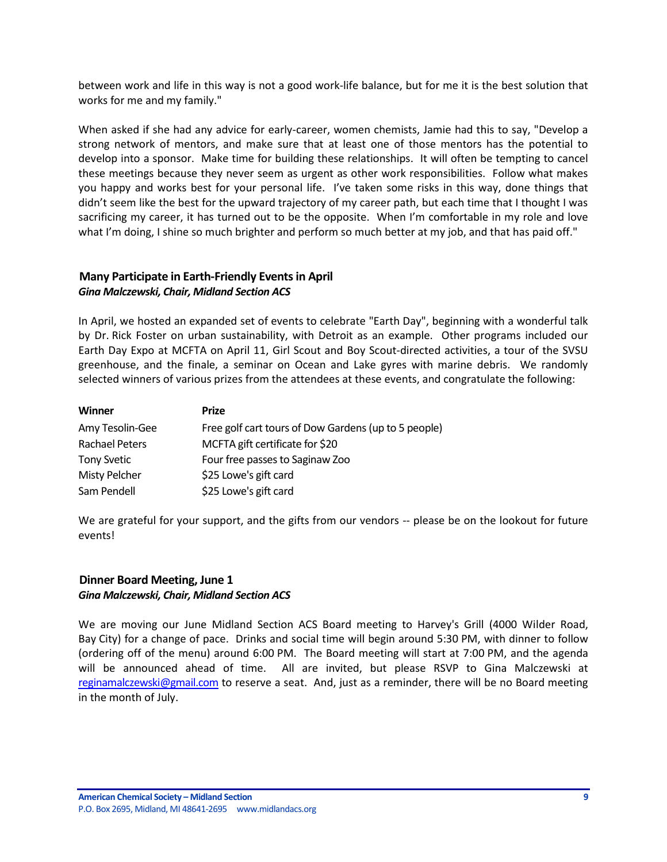between work and life in this way is not a good work-life balance, but for me it is the best solution that works for me and my family."

When asked if she had any advice for early-career, women chemists, Jamie had this to say, "Develop a strong network of mentors, and make sure that at least one of those mentors has the potential to develop into a sponsor. Make time for building these relationships. It will often be tempting to cancel these meetings because they never seem as urgent as other work responsibilities. Follow what makes you happy and works best for your personal life. I've taken some risks in this way, done things that didn't seem like the best for the upward trajectory of my career path, but each time that I thought I was sacrificing my career, it has turned out to be the opposite. When I'm comfortable in my role and love what I'm doing, I shine so much brighter and perform so much better at my job, and that has paid off."

### <span id="page-8-0"></span>**Many Participate in Earth-Friendly Events in April** *Gina Malczewski, Chair, Midland Section ACS*

In April, we hosted an expanded set of events to celebrate "Earth Day", beginning with a wonderful talk by Dr. Rick Foster on urban sustainability, with Detroit as an example. Other programs included our Earth Day Expo at MCFTA on April 11, Girl Scout and Boy Scout-directed activities, a tour of the SVSU greenhouse, and the finale, a seminar on Ocean and Lake gyres with marine debris. We randomly selected winners of various prizes from the attendees at these events, and congratulate the following:

| <b>Winner</b>         | <b>Prize</b>                                         |
|-----------------------|------------------------------------------------------|
| Amy Tesolin-Gee       | Free golf cart tours of Dow Gardens (up to 5 people) |
| <b>Rachael Peters</b> | MCFTA gift certificate for \$20                      |
| <b>Tony Svetic</b>    | Four free passes to Saginaw Zoo                      |
| <b>Misty Pelcher</b>  | \$25 Lowe's gift card                                |
| Sam Pendell           | \$25 Lowe's gift card                                |

We are grateful for your support, and the gifts from our vendors -- please be on the lookout for future events!

### <span id="page-8-1"></span>**Dinner Board Meeting, June 1** *Gina Malczewski, Chair, Midland Section ACS*

We are moving our June Midland Section ACS Board meeting to Harvey's Grill (4000 Wilder Road, Bay City) for a change of pace. Drinks and social time will begin around 5:30 PM, with dinner to follow (ordering off of the menu) around 6:00 PM. The Board meeting will start at 7:00 PM, and the agenda will be announced ahead of time. All are invited, but please RSVP to Gina Malczewski at [reginamalczewski@gmail.com](mailto:reginamalczewski@gmail.com) to reserve a seat. And, just as a reminder, there will be no Board meeting in the month of July.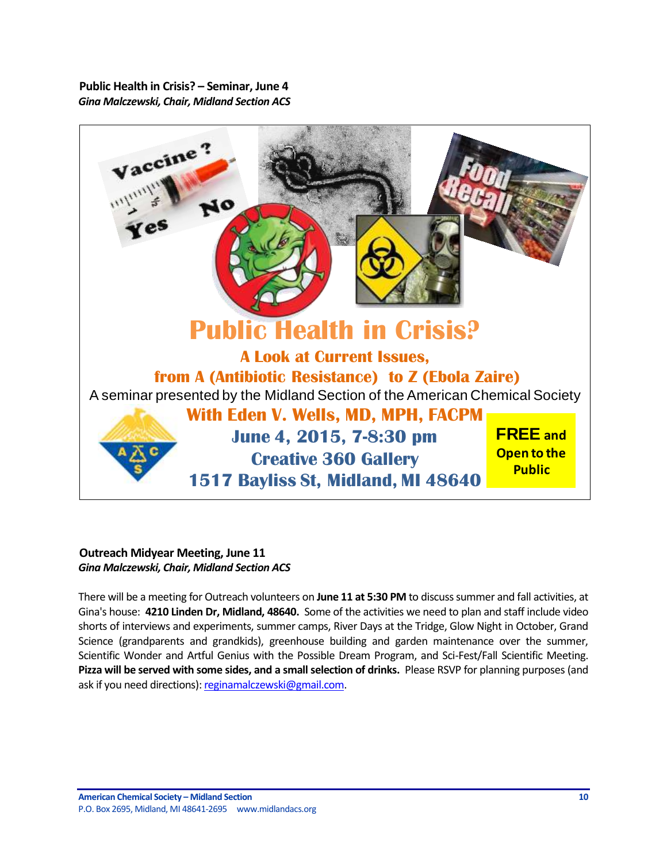<span id="page-9-0"></span>**Public Health in Crisis? – Seminar, June 4** *Gina Malczewski, Chair, Midland Section ACS*



### <span id="page-9-1"></span>**Outreach Midyear Meeting, June 11** *Gina Malczewski, Chair, Midland Section ACS*

There will be a meeting for Outreach volunteers on **June 11 at 5:30 PM** to discuss summer and fall activities, at Gina's house: **4210 Linden Dr, Midland, 48640.** Some of the activities we need to plan and staff include video shorts of interviews and experiments, summer camps, River Days at the Tridge, Glow Night in October, Grand Science (grandparents and grandkids), greenhouse building and garden maintenance over the summer, Scientific Wonder and Artful Genius with the Possible Dream Program, and Sci-Fest/Fall Scientific Meeting. **Pizza will be served with some sides, and a small selection of drinks.** Please RSVP for planning purposes (and ask if you need directions)[: reginamalczewski@gmail.com.](mailto:reginamalczewski@gmail.com)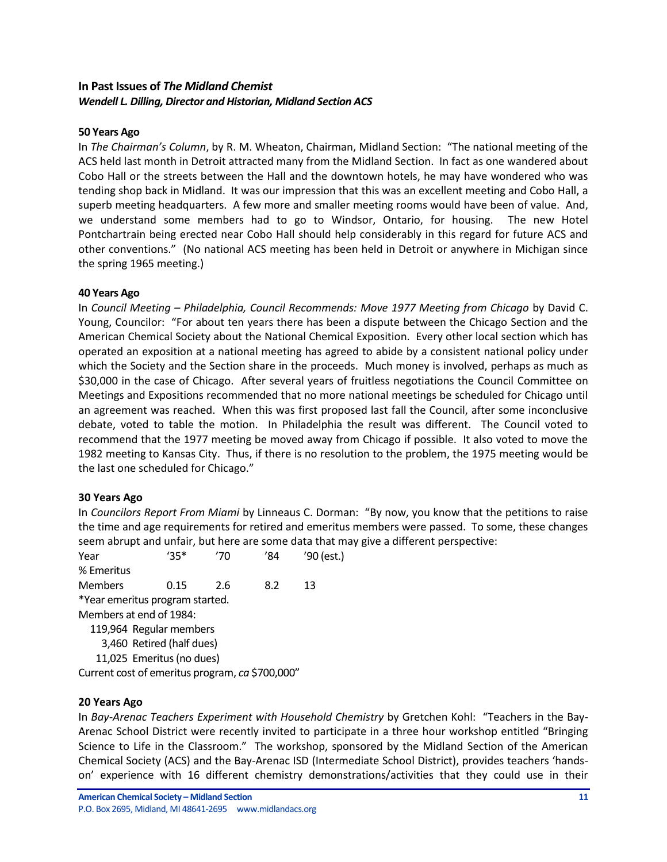# <span id="page-10-0"></span>**In Past Issues of** *The Midland Chemist Wendell L. Dilling, Director and Historian, Midland Section ACS*

#### **50 Years Ago**

In *The Chairman's Column*, by R. M. Wheaton, Chairman, Midland Section: "The national meeting of the ACS held last month in Detroit attracted many from the Midland Section. In fact as one wandered about Cobo Hall or the streets between the Hall and the downtown hotels, he may have wondered who was tending shop back in Midland. It was our impression that this was an excellent meeting and Cobo Hall, a superb meeting headquarters. A few more and smaller meeting rooms would have been of value. And, we understand some members had to go to Windsor, Ontario, for housing. The new Hotel Pontchartrain being erected near Cobo Hall should help considerably in this regard for future ACS and other conventions." (No national ACS meeting has been held in Detroit or anywhere in Michigan since the spring 1965 meeting.)

#### **40 Years Ago**

In *Council Meeting – Philadelphia, Council Recommends: Move 1977 Meeting from Chicago* by David C. Young, Councilor: "For about ten years there has been a dispute between the Chicago Section and the American Chemical Society about the National Chemical Exposition. Every other local section which has operated an exposition at a national meeting has agreed to abide by a consistent national policy under which the Society and the Section share in the proceeds. Much money is involved, perhaps as much as \$30,000 in the case of Chicago. After several years of fruitless negotiations the Council Committee on Meetings and Expositions recommended that no more national meetings be scheduled for Chicago until an agreement was reached. When this was first proposed last fall the Council, after some inconclusive debate, voted to table the motion. In Philadelphia the result was different. The Council voted to recommend that the 1977 meeting be moved away from Chicago if possible. It also voted to move the 1982 meeting to Kansas City. Thus, if there is no resolution to the problem, the 1975 meeting would be the last one scheduled for Chicago."

#### **30 Years Ago**

In *Councilors Report From Miami* by Linneaus C. Dorman: "By now, you know that the petitions to raise the time and age requirements for retired and emeritus members were passed. To some, these changes seem abrupt and unfair, but here are some data that may give a different perspective:

Year '35\* '70 '84 '90 (est.) % Emeritus Members 0.15 2.6 8.2 13 \*Year emeritus program started. Members at end of 1984: 119,964 Regular members 3,460 Retired (half dues) 11,025 Emeritus (no dues) Current cost of emeritus program, *ca* \$700,000"

#### **20 Years Ago**

In *Bay-Arenac Teachers Experiment with Household Chemistry* by Gretchen Kohl: "Teachers in the Bay-Arenac School District were recently invited to participate in a three hour workshop entitled "Bringing Science to Life in the Classroom." The workshop, sponsored by the Midland Section of the American Chemical Society (ACS) and the Bay-Arenac ISD (Intermediate School District), provides teachers 'handson' experience with 16 different chemistry demonstrations/activities that they could use in their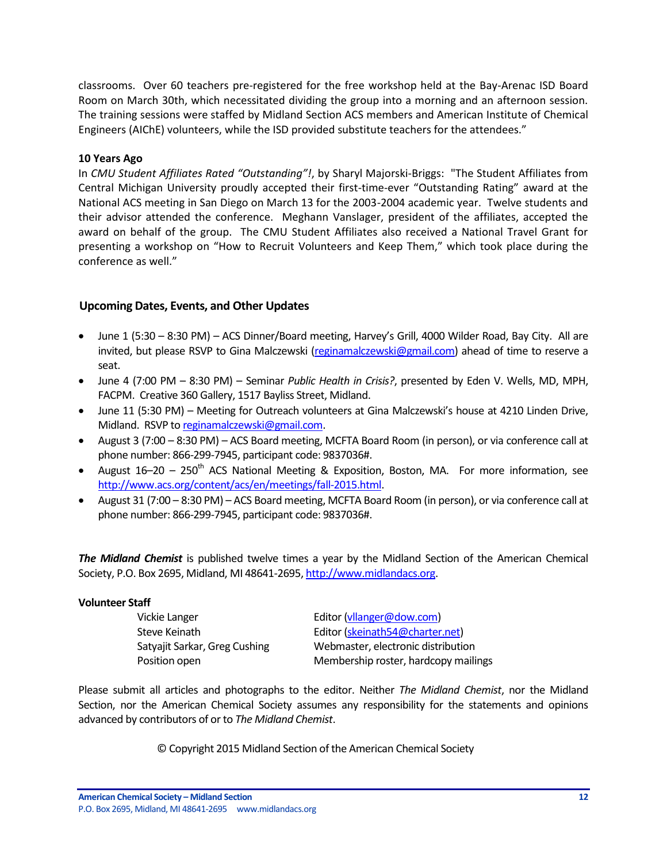classrooms. Over 60 teachers pre-registered for the free workshop held at the Bay-Arenac ISD Board Room on March 30th, which necessitated dividing the group into a morning and an afternoon session. The training sessions were staffed by Midland Section ACS members and American Institute of Chemical Engineers (AIChE) volunteers, while the ISD provided substitute teachers for the attendees."

### **10 Years Ago**

In *CMU Student Affiliates Rated "Outstanding"!*, by Sharyl Majorski-Briggs: "The Student Affiliates from Central Michigan University proudly accepted their first-time-ever "Outstanding Rating" award at the National ACS meeting in San Diego on March 13 for the 2003-2004 academic year. Twelve students and their advisor attended the conference. Meghann Vanslager, president of the affiliates, accepted the award on behalf of the group. The CMU Student Affiliates also received a National Travel Grant for presenting a workshop on "How to Recruit Volunteers and Keep Them," which took place during the conference as well."

# <span id="page-11-0"></span>**Upcoming Dates, Events, and Other Updates**

- June 1 (5:30 8:30 PM) ACS Dinner/Board meeting, Harvey's Grill, 4000 Wilder Road, Bay City. All are invited, but please RSVP to Gina Malczewski [\(reginamalczewski@gmail.com\)](mailto:reginamalczewski@gmail.com) ahead of time to reserve a seat.
- June 4 (7:00 PM 8:30 PM) Seminar *Public Health in Crisis?*, presented by Eden V. Wells, MD, MPH, FACPM. Creative 360 Gallery, 1517 Bayliss Street, Midland.
- June 11 (5:30 PM) Meeting for Outreach volunteers at Gina Malczewski's house at 4210 Linden Drive, Midland. RSVP t[o reginamalczewski@gmail.com.](mailto:reginamalczewski@gmail.com)
- August 3 (7:00 8:30 PM) ACS Board meeting, MCFTA Board Room (in person), or via conference call at phone number: 866-299-7945, participant code: 9837036#.
- August  $16-20 250$ <sup>th</sup> ACS National Meeting & Exposition, Boston, MA. For more information, see [http://www.acs.org/content/acs/en/meetings/fall-2015.html.](http://www.acs.org/content/acs/en/meetings/fall-2015.html)
- August 31 (7:00 8:30 PM) ACS Board meeting, MCFTA Board Room (in person), or via conference call at phone number: 866-299-7945, participant code: 9837036#.

*The Midland Chemist* is published twelve times a year by the Midland Section of the American Chemical Society, P.O. Box 2695, Midland, MI 48641-2695[, http://www.midlandacs.org.](http://www.midlandacs.org/)

#### **Volunteer Staff**

| Vickie Langer                 | Editor (vllanger@dow.com)            |
|-------------------------------|--------------------------------------|
| Steve Keinath                 | Editor (skeinath54@charter.net)      |
| Satyajit Sarkar, Greg Cushing | Webmaster, electronic distribution   |
| Position open                 | Membership roster, hardcopy mailings |

Please submit all articles and photographs to the editor. Neither *The Midland Chemist*, nor the Midland Section, nor the American Chemical Society assumes any responsibility for the statements and opinions advanced by contributors of or to *The Midland Chemist*.

© Copyright 2015 Midland Section of the American Chemical Society